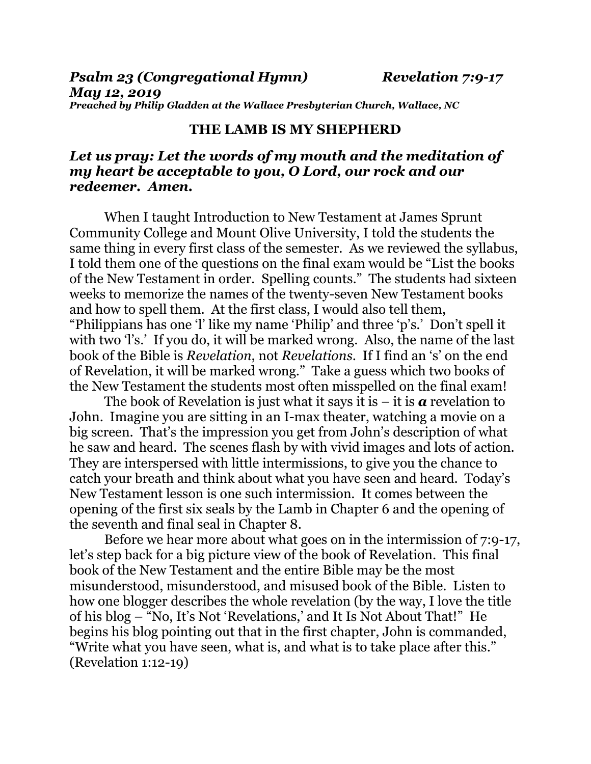*Psalm 23 (Congregational Hymn) Revelation 7:9-17 May 12, 2019 Preached by Philip Gladden at the Wallace Presbyterian Church, Wallace, NC*

## **THE LAMB IS MY SHEPHERD**

## *Let us pray: Let the words of my mouth and the meditation of my heart be acceptable to you, O Lord, our rock and our redeemer. Amen.*

When I taught Introduction to New Testament at James Sprunt Community College and Mount Olive University, I told the students the same thing in every first class of the semester. As we reviewed the syllabus, I told them one of the questions on the final exam would be "List the books of the New Testament in order. Spelling counts." The students had sixteen weeks to memorize the names of the twenty-seven New Testament books and how to spell them. At the first class, I would also tell them, "Philippians has one 'l' like my name 'Philip' and three 'p's.' Don't spell it with two 'l's.' If you do, it will be marked wrong. Also, the name of the last book of the Bible is *Revelation*, not *Revelations*. If I find an 's' on the end of Revelation, it will be marked wrong." Take a guess which two books of the New Testament the students most often misspelled on the final exam!

The book of Revelation is just what it says it is  $-\mathbf{i}$  is  $\boldsymbol{a}$  revelation to John. Imagine you are sitting in an I-max theater, watching a movie on a big screen. That's the impression you get from John's description of what he saw and heard. The scenes flash by with vivid images and lots of action. They are interspersed with little intermissions, to give you the chance to catch your breath and think about what you have seen and heard. Today's New Testament lesson is one such intermission. It comes between the opening of the first six seals by the Lamb in Chapter 6 and the opening of the seventh and final seal in Chapter 8.

Before we hear more about what goes on in the intermission of 7:9-17, let's step back for a big picture view of the book of Revelation. This final book of the New Testament and the entire Bible may be the most misunderstood, misunderstood, and misused book of the Bible. Listen to how one blogger describes the whole revelation (by the way, I love the title of his blog – "No, It's Not 'Revelations,' and It Is Not About That!" He begins his blog pointing out that in the first chapter, John is commanded, "Write what you have seen, what is, and what is to take place after this." (Revelation 1:12-19)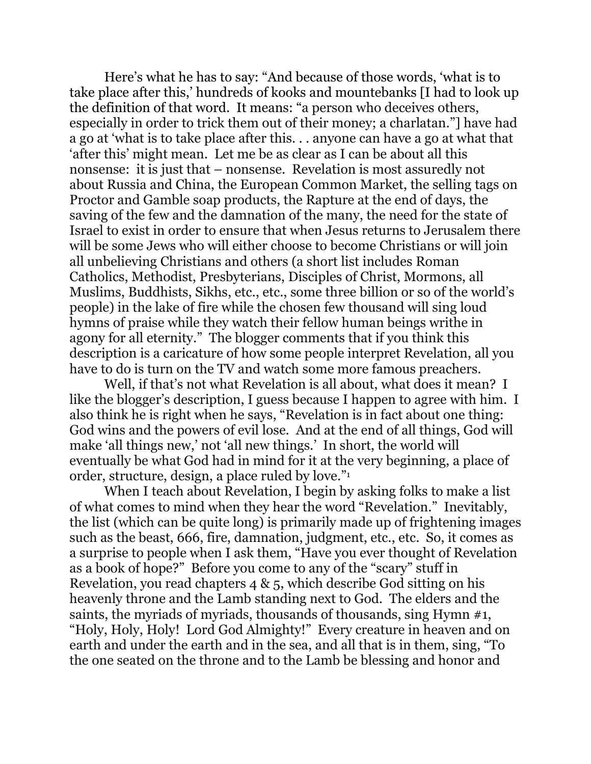Here's what he has to say: "And because of those words, 'what is to take place after this,' hundreds of kooks and mountebanks [I had to look up the definition of that word. It means: "a person who deceives others, especially in order to trick them out of their money; a charlatan."] have had a go at 'what is to take place after this. . . anyone can have a go at what that 'after this' might mean. Let me be as clear as I can be about all this nonsense: it is just that – nonsense. Revelation is most assuredly not about Russia and China, the European Common Market, the selling tags on Proctor and Gamble soap products, the Rapture at the end of days, the saving of the few and the damnation of the many, the need for the state of Israel to exist in order to ensure that when Jesus returns to Jerusalem there will be some Jews who will either choose to become Christians or will join all unbelieving Christians and others (a short list includes Roman Catholics, Methodist, Presbyterians, Disciples of Christ, Mormons, all Muslims, Buddhists, Sikhs, etc., etc., some three billion or so of the world's people) in the lake of fire while the chosen few thousand will sing loud hymns of praise while they watch their fellow human beings writhe in agony for all eternity." The blogger comments that if you think this description is a caricature of how some people interpret Revelation, all you have to do is turn on the TV and watch some more famous preachers.

Well, if that's not what Revelation is all about, what does it mean? I like the blogger's description, I guess because I happen to agree with him. I also think he is right when he says, "Revelation is in fact about one thing: God wins and the powers of evil lose. And at the end of all things, God will make 'all things new,' not 'all new things.' In short, the world will eventually be what God had in mind for it at the very beginning, a place of order, structure, design, a place ruled by love."<sup>1</sup>

When I teach about Revelation, I begin by asking folks to make a list of what comes to mind when they hear the word "Revelation." Inevitably, the list (which can be quite long) is primarily made up of frightening images such as the beast, 666, fire, damnation, judgment, etc., etc. So, it comes as a surprise to people when I ask them, "Have you ever thought of Revelation as a book of hope?" Before you come to any of the "scary" stuff in Revelation, you read chapters 4 & 5, which describe God sitting on his heavenly throne and the Lamb standing next to God. The elders and the saints, the myriads of myriads, thousands of thousands, sing Hymn #1, "Holy, Holy, Holy! Lord God Almighty!" Every creature in heaven and on earth and under the earth and in the sea, and all that is in them, sing, "To the one seated on the throne and to the Lamb be blessing and honor and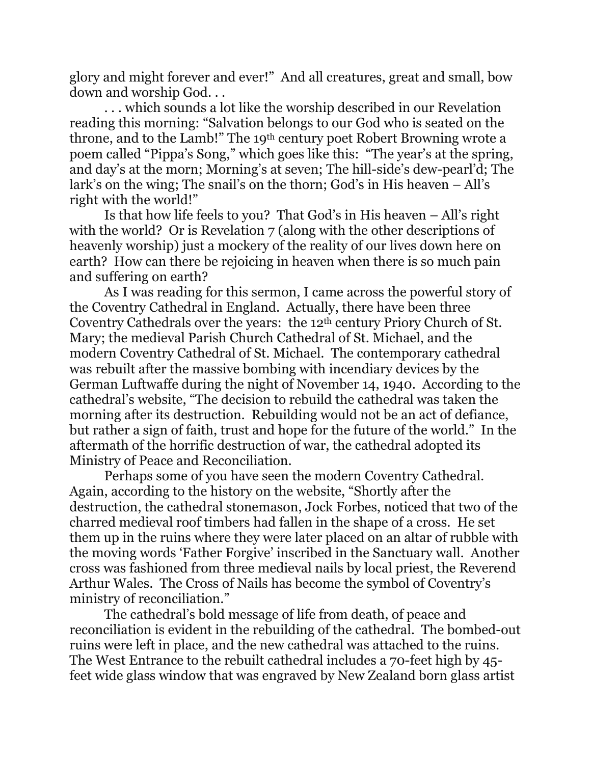glory and might forever and ever!" And all creatures, great and small, bow down and worship God. . .

. . . which sounds a lot like the worship described in our Revelation reading this morning: "Salvation belongs to our God who is seated on the throne, and to the Lamb!" The 19th century poet Robert Browning wrote a poem called "Pippa's Song," which goes like this: "The year's at the spring, and day's at the morn; Morning's at seven; The hill-side's dew-pearl'd; The lark's on the wing; The snail's on the thorn; God's in His heaven – All's right with the world!"

Is that how life feels to you? That God's in His heaven – All's right with the world? Or is Revelation 7 (along with the other descriptions of heavenly worship) just a mockery of the reality of our lives down here on earth? How can there be rejoicing in heaven when there is so much pain and suffering on earth?

As I was reading for this sermon, I came across the powerful story of the Coventry Cathedral in England. Actually, there have been three Coventry Cathedrals over the years: the 12th century Priory Church of St. Mary; the medieval Parish Church Cathedral of St. Michael, and the modern Coventry Cathedral of St. Michael. The contemporary cathedral was rebuilt after the massive bombing with incendiary devices by the German Luftwaffe during the night of November 14, 1940. According to the cathedral's website, "The decision to rebuild the cathedral was taken the morning after its destruction. Rebuilding would not be an act of defiance, but rather a sign of faith, trust and hope for the future of the world." In the aftermath of the horrific destruction of war, the cathedral adopted its Ministry of Peace and Reconciliation.

Perhaps some of you have seen the modern Coventry Cathedral. Again, according to the history on the website, "Shortly after the destruction, the cathedral stonemason, Jock Forbes, noticed that two of the charred medieval roof timbers had fallen in the shape of a cross. He set them up in the ruins where they were later placed on an altar of rubble with the moving words 'Father Forgive' inscribed in the Sanctuary wall. Another cross was fashioned from three medieval nails by local priest, the Reverend Arthur Wales. The Cross of Nails has become the symbol of Coventry's ministry of reconciliation."

The cathedral's bold message of life from death, of peace and reconciliation is evident in the rebuilding of the cathedral. The bombed-out ruins were left in place, and the new cathedral was attached to the ruins. The West Entrance to the rebuilt cathedral includes a 70-feet high by 45 feet wide glass window that was engraved by New Zealand born glass artist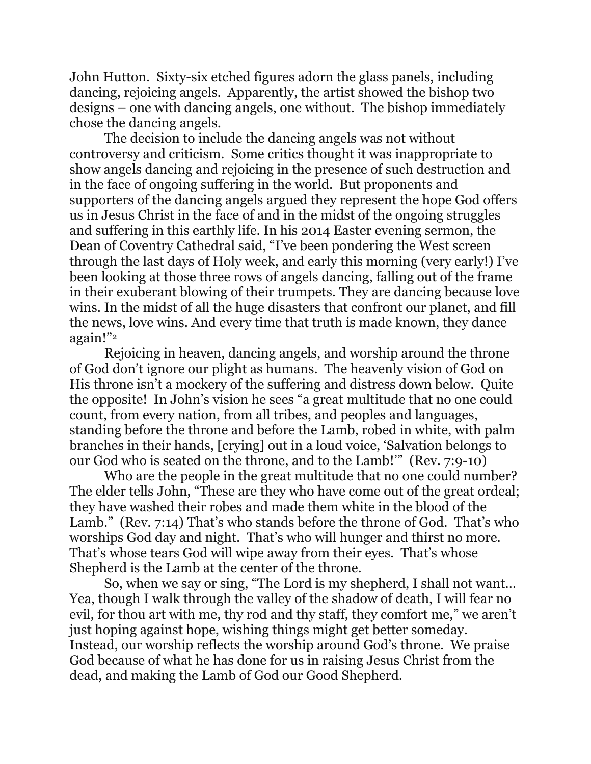John Hutton. Sixty-six etched figures adorn the glass panels, including dancing, rejoicing angels. Apparently, the artist showed the bishop two designs – one with dancing angels, one without. The bishop immediately chose the dancing angels.

The decision to include the dancing angels was not without controversy and criticism. Some critics thought it was inappropriate to show angels dancing and rejoicing in the presence of such destruction and in the face of ongoing suffering in the world. But proponents and supporters of the dancing angels argued they represent the hope God offers us in Jesus Christ in the face of and in the midst of the ongoing struggles and suffering in this earthly life. In his 2014 Easter evening sermon, the Dean of Coventry Cathedral said, "I've been pondering the West screen through the last days of Holy week, and early this morning (very early!) I've been looking at those three rows of angels dancing, falling out of the frame in their exuberant blowing of their trumpets. They are dancing because love wins. In the midst of all the huge disasters that confront our planet, and fill the news, love wins. And every time that truth is made known, they dance again!"<sup>2</sup>

Rejoicing in heaven, dancing angels, and worship around the throne of God don't ignore our plight as humans. The heavenly vision of God on His throne isn't a mockery of the suffering and distress down below. Quite the opposite! In John's vision he sees "a great multitude that no one could count, from every nation, from all tribes, and peoples and languages, standing before the throne and before the Lamb, robed in white, with palm branches in their hands, [crying] out in a loud voice, 'Salvation belongs to our God who is seated on the throne, and to the Lamb!'" (Rev. 7:9-10)

Who are the people in the great multitude that no one could number? The elder tells John, "These are they who have come out of the great ordeal; they have washed their robes and made them white in the blood of the Lamb." (Rev. 7:14) That's who stands before the throne of God. That's who worships God day and night. That's who will hunger and thirst no more. That's whose tears God will wipe away from their eyes. That's whose Shepherd is the Lamb at the center of the throne.

So, when we say or sing, "The Lord is my shepherd, I shall not want… Yea, though I walk through the valley of the shadow of death, I will fear no evil, for thou art with me, thy rod and thy staff, they comfort me," we aren't just hoping against hope, wishing things might get better someday. Instead, our worship reflects the worship around God's throne. We praise God because of what he has done for us in raising Jesus Christ from the dead, and making the Lamb of God our Good Shepherd.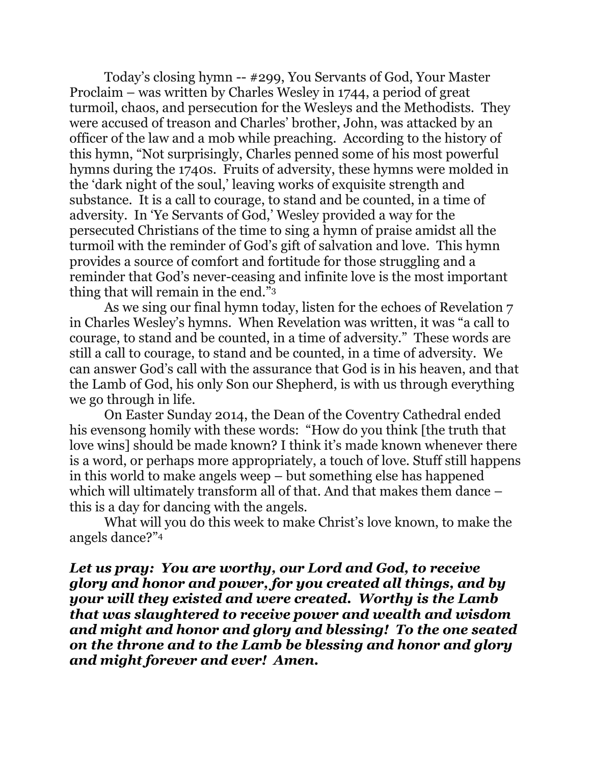Today's closing hymn -- #299, You Servants of God, Your Master Proclaim – was written by Charles Wesley in 1744, a period of great turmoil, chaos, and persecution for the Wesleys and the Methodists. They were accused of treason and Charles' brother, John, was attacked by an officer of the law and a mob while preaching. According to the history of this hymn, "Not surprisingly, Charles penned some of his most powerful hymns during the 1740s. Fruits of adversity, these hymns were molded in the 'dark night of the soul,' leaving works of exquisite strength and substance. It is a call to courage, to stand and be counted, in a time of adversity. In 'Ye Servants of God,' Wesley provided a way for the persecuted Christians of the time to sing a hymn of praise amidst all the turmoil with the reminder of God's gift of salvation and love. This hymn provides a source of comfort and fortitude for those struggling and a reminder that God's never-ceasing and infinite love is the most important thing that will remain in the end."<sup>3</sup>

As we sing our final hymn today, listen for the echoes of Revelation 7 in Charles Wesley's hymns. When Revelation was written, it was "a call to courage, to stand and be counted, in a time of adversity." These words are still a call to courage, to stand and be counted, in a time of adversity. We can answer God's call with the assurance that God is in his heaven, and that the Lamb of God, his only Son our Shepherd, is with us through everything we go through in life.

On Easter Sunday 2014, the Dean of the Coventry Cathedral ended his evensong homily with these words: "How do you think [the truth that love wins] should be made known? I think it's made known whenever there is a word, or perhaps more appropriately, a touch of love. Stuff still happens in this world to make angels weep – but something else has happened which will ultimately transform all of that. And that makes them dance – this is a day for dancing with the angels.

What will you do this week to make Christ's love known, to make the angels dance?"<sup>4</sup>

*Let us pray: You are worthy, our Lord and God, to receive glory and honor and power, for you created all things, and by your will they existed and were created. Worthy is the Lamb that was slaughtered to receive power and wealth and wisdom and might and honor and glory and blessing! To the one seated on the throne and to the Lamb be blessing and honor and glory and might forever and ever! Amen.*